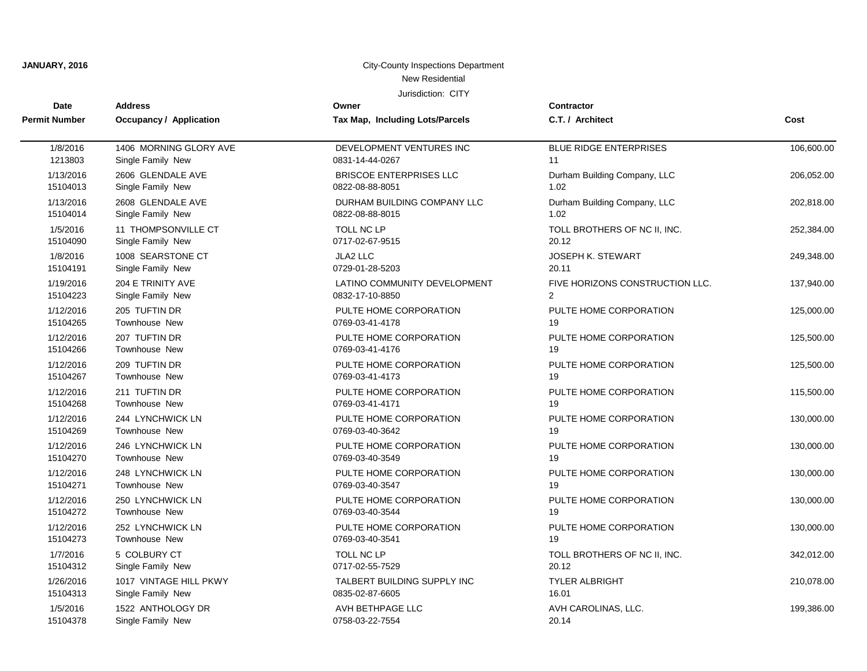| <b>Date</b>          | <b>Address</b>                 | Owner                           | <b>Contractor</b>               |            |
|----------------------|--------------------------------|---------------------------------|---------------------------------|------------|
| <b>Permit Number</b> | <b>Occupancy / Application</b> | Tax Map, Including Lots/Parcels | C.T. / Architect                | Cost       |
| 1/8/2016             | 1406 MORNING GLORY AVE         | DEVELOPMENT VENTURES INC        | BLUE RIDGE ENTERPRISES          | 106,600.00 |
| 1213803              | Single Family New              | 0831-14-44-0267                 | 11                              |            |
| 1/13/2016            | 2606 GLENDALE AVE              | <b>BRISCOE ENTERPRISES LLC</b>  | Durham Building Company, LLC    | 206,052.00 |
| 15104013             | Single Family New              | 0822-08-88-8051                 | 1.02                            |            |
| 1/13/2016            | 2608 GLENDALE AVE              | DURHAM BUILDING COMPANY LLC     | Durham Building Company, LLC    | 202,818.00 |
| 15104014             | Single Family New              | 0822-08-88-8015                 | 1.02                            |            |
| 1/5/2016             | 11 THOMPSONVILLE CT            | TOLL NC LP                      | TOLL BROTHERS OF NC II, INC.    | 252,384.00 |
| 15104090             | Single Family New              | 0717-02-67-9515                 | 20.12                           |            |
| 1/8/2016             | 1008 SEARSTONE CT              | JLA2 LLC                        | <b>JOSEPH K. STEWART</b>        | 249,348.00 |
| 15104191             | Single Family New              | 0729-01-28-5203                 | 20.11                           |            |
| 1/19/2016            | 204 E TRINITY AVE              | LATINO COMMUNITY DEVELOPMENT    | FIVE HORIZONS CONSTRUCTION LLC. | 137,940.00 |
| 15104223             | Single Family New              | 0832-17-10-8850                 | $\overline{2}$                  |            |
| 1/12/2016            | 205 TUFTIN DR                  | PULTE HOME CORPORATION          | PULTE HOME CORPORATION          | 125,000.00 |
| 15104265             | <b>Townhouse New</b>           | 0769-03-41-4178                 | 19                              |            |
| 1/12/2016            | 207 TUFTIN DR                  | PULTE HOME CORPORATION          | PULTE HOME CORPORATION          | 125,500.00 |
| 15104266             | Townhouse New                  | 0769-03-41-4176                 | 19                              |            |
| 1/12/2016            | 209 TUFTIN DR                  | PULTE HOME CORPORATION          | PULTE HOME CORPORATION          | 125,500.00 |
| 15104267             | Townhouse New                  | 0769-03-41-4173                 | 19                              |            |
| 1/12/2016            | 211 TUFTIN DR                  | PULTE HOME CORPORATION          | PULTE HOME CORPORATION          | 115,500.00 |
| 15104268             | <b>Townhouse New</b>           | 0769-03-41-4171                 | 19                              |            |
| 1/12/2016            | 244 LYNCHWICK LN               | PULTE HOME CORPORATION          | PULTE HOME CORPORATION          | 130,000.00 |
| 15104269             | <b>Townhouse New</b>           | 0769-03-40-3642                 | 19                              |            |
| 1/12/2016            | 246 LYNCHWICK LN               | PULTE HOME CORPORATION          | PULTE HOME CORPORATION          | 130,000.00 |
| 15104270             | Townhouse New                  | 0769-03-40-3549                 | 19                              |            |
| 1/12/2016            | 248 LYNCHWICK LN               | PULTE HOME CORPORATION          | PULTE HOME CORPORATION          | 130,000.00 |
| 15104271             | Townhouse New                  | 0769-03-40-3547                 | 19                              |            |
| 1/12/2016            | 250 LYNCHWICK LN               | PULTE HOME CORPORATION          | PULTE HOME CORPORATION          | 130,000.00 |
| 15104272             | <b>Townhouse New</b>           | 0769-03-40-3544                 | 19                              |            |
| 1/12/2016            | 252 LYNCHWICK LN               | PULTE HOME CORPORATION          | PULTE HOME CORPORATION          | 130,000.00 |
| 15104273             | Townhouse New                  | 0769-03-40-3541                 | 19                              |            |
| 1/7/2016             | 5 COLBURY CT                   | TOLL NC LP                      | TOLL BROTHERS OF NC II, INC.    | 342,012.00 |
| 15104312             | Single Family New              | 0717-02-55-7529                 | 20.12                           |            |
| 1/26/2016            | 1017 VINTAGE HILL PKWY         | TALBERT BUILDING SUPPLY INC     | <b>TYLER ALBRIGHT</b>           | 210,078.00 |
| 15104313             | Single Family New              | 0835-02-87-6605                 | 16.01                           |            |
| 1/5/2016             | 1522 ANTHOLOGY DR              | AVH BETHPAGE LLC                | AVH CAROLINAS, LLC.             | 199,386.00 |
| 15104378             | Single Family New              | 0758-03-22-7554                 | 20.14                           |            |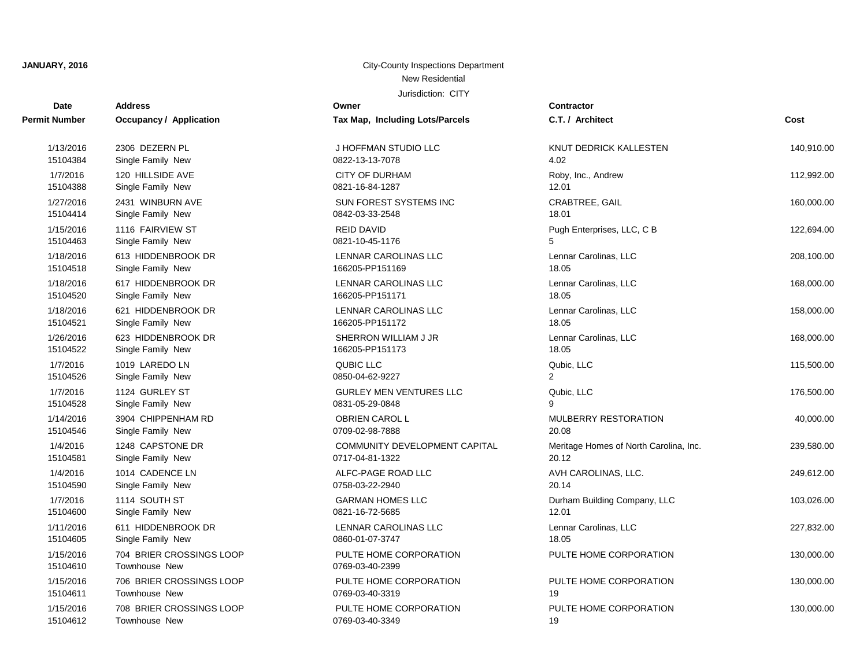| <b>Date</b>           | <b>Address</b>                                   | Owner                                     | <b>Contractor</b>                      |            |
|-----------------------|--------------------------------------------------|-------------------------------------------|----------------------------------------|------------|
| Permit Number         | <b>Occupancy / Application</b>                   | Tax Map, Including Lots/Parcels           | C.T. / Architect                       | Cost       |
| 1/13/2016             | 2306 DEZERN PL                                   | J HOFFMAN STUDIO LLC                      | KNUT DEDRICK KALLESTEN                 | 140,910.00 |
| 15104384              | Single Family New                                | 0822-13-13-7078                           | 4.02                                   |            |
| 1/7/2016              | 120 HILLSIDE AVE                                 | <b>CITY OF DURHAM</b>                     | Roby, Inc., Andrew                     | 112,992.00 |
| 15104388              | Single Family New                                | 0821-16-84-1287                           | 12.01                                  |            |
| 1/27/2016             | 2431 WINBURN AVE                                 | <b>SUN FOREST SYSTEMS INC</b>             | <b>CRABTREE, GAIL</b>                  | 160,000.00 |
| 15104414              | Single Family New                                | 0842-03-33-2548                           | 18.01                                  |            |
| 1/15/2016             | 1116 FAIRVIEW ST                                 | <b>REID DAVID</b>                         | Pugh Enterprises, LLC, C B             | 122,694.00 |
| 15104463              | Single Family New                                | 0821-10-45-1176                           | 5                                      |            |
| 1/18/2016             | 613 HIDDENBROOK DR                               | <b>LENNAR CAROLINAS LLC</b>               | Lennar Carolinas, LLC                  | 208,100.00 |
| 15104518              | Single Family New                                | 166205-PP151169                           | 18.05                                  |            |
| 1/18/2016             | 617 HIDDENBROOK DR                               | <b>LENNAR CAROLINAS LLC</b>               | Lennar Carolinas, LLC                  | 168,000.00 |
| 15104520              | Single Family New                                | 166205-PP151171                           | 18.05                                  |            |
| 1/18/2016             | 621 HIDDENBROOK DR                               | LENNAR CAROLINAS LLC                      | Lennar Carolinas, LLC                  | 158,000.00 |
| 15104521              | Single Family New                                | 166205-PP151172                           | 18.05                                  |            |
| 1/26/2016             | 623 HIDDENBROOK DR                               | SHERRON WILLIAM J JR                      | Lennar Carolinas, LLC                  | 168,000.00 |
| 15104522              | Single Family New                                | 166205-PP151173                           | 18.05                                  |            |
| 1/7/2016              | 1019 LAREDO LN                                   | QUBIC LLC                                 | Qubic, LLC                             | 115,500.00 |
| 15104526              | Single Family New                                | 0850-04-62-9227                           | 2                                      |            |
| 1/7/2016              | 1124 GURLEY ST                                   | <b>GURLEY MEN VENTURES LLC</b>            | Qubic, LLC                             | 176,500.00 |
| 15104528              | Single Family New                                | 0831-05-29-0848                           | q                                      |            |
| 1/14/2016             | 3904 CHIPPENHAM RD                               | OBRIEN CAROL L                            | MULBERRY RESTORATION                   | 40,000.00  |
| 15104546              | Single Family New                                | 0709-02-98-7888                           | 20.08                                  |            |
| 1/4/2016              | 1248 CAPSTONE DR                                 | COMMUNITY DEVELOPMENT CAPITAL             | Meritage Homes of North Carolina, Inc. | 239,580.00 |
| 15104581              | Single Family New                                | 0717-04-81-1322                           | 20.12                                  |            |
| 1/4/2016              | 1014 CADENCE LN                                  | ALFC-PAGE ROAD LLC                        | AVH CAROLINAS, LLC.                    | 249,612.00 |
| 15104590              | Single Family New                                | 0758-03-22-2940                           | 20.14                                  |            |
| 1/7/2016              | 1114 SOUTH ST                                    | <b>GARMAN HOMES LLC</b>                   | Durham Building Company, LLC           | 103,026.00 |
| 15104600              | Single Family New                                | 0821-16-72-5685                           | 12.01                                  |            |
| 1/11/2016             | 611 HIDDENBROOK DR                               | LENNAR CAROLINAS LLC                      | Lennar Carolinas, LLC                  | 227,832.00 |
| 15104605              | Single Family New                                | 0860-01-07-3747                           | 18.05                                  |            |
| 1/15/2016<br>15104610 | 704 BRIER CROSSINGS LOOP<br><b>Townhouse New</b> | PULTE HOME CORPORATION<br>0769-03-40-2399 | PULTE HOME CORPORATION                 | 130,000.00 |
| 1/15/2016             | 706 BRIER CROSSINGS LOOP                         | PULTE HOME CORPORATION                    | PULTE HOME CORPORATION                 | 130,000.00 |
| 15104611              | Townhouse New                                    | 0769-03-40-3319                           | 19                                     |            |
| 1/15/2016             | 708 BRIER CROSSINGS LOOP                         | PULTE HOME CORPORATION                    | PULTE HOME CORPORATION                 | 130,000.00 |
| 15104612              | Townhouse New                                    | 0769-03-40-3349                           | 19                                     |            |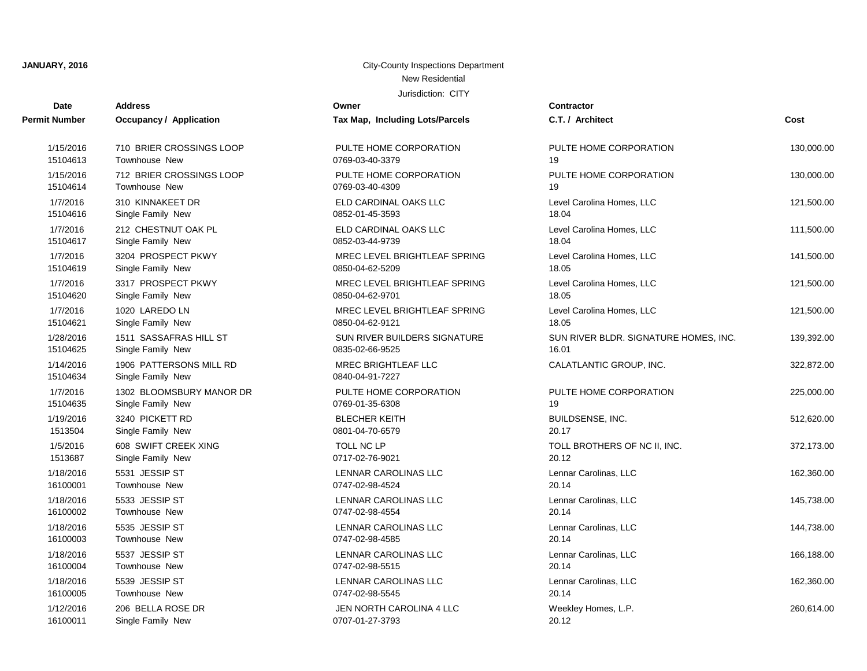| Date                  | <b>Address</b>                               | Owner                                         | <b>Contractor</b>                     |            |
|-----------------------|----------------------------------------------|-----------------------------------------------|---------------------------------------|------------|
| <b>Permit Number</b>  | <b>Occupancy / Application</b>               | Tax Map, Including Lots/Parcels               | C.T. / Architect                      | Cost       |
| 1/15/2016             | 710 BRIER CROSSINGS LOOP                     | PULTE HOME CORPORATION                        | PULTE HOME CORPORATION                | 130,000.00 |
| 15104613              | Townhouse New                                | 0769-03-40-3379                               | 19                                    |            |
| 1/15/2016             | 712 BRIER CROSSINGS LOOP                     | PULTE HOME CORPORATION                        | PULTE HOME CORPORATION                | 130,000.00 |
| 15104614              | <b>Townhouse New</b>                         | 0769-03-40-4309                               | 19                                    |            |
| 1/7/2016              | 310 KINNAKEET DR                             | ELD CARDINAL OAKS LLC                         | Level Carolina Homes, LLC             | 121,500.00 |
| 15104616              | Single Family New                            | 0852-01-45-3593                               | 18.04                                 |            |
| 1/7/2016              | 212 CHESTNUT OAK PL                          | ELD CARDINAL OAKS LLC                         | Level Carolina Homes, LLC             | 111,500.00 |
| 15104617              | Single Family New                            | 0852-03-44-9739                               | 18.04                                 |            |
| 1/7/2016              | 3204 PROSPECT PKWY                           | MREC LEVEL BRIGHTLEAF SPRING                  | Level Carolina Homes, LLC             | 141,500.00 |
| 15104619              | Single Family New                            | 0850-04-62-5209                               | 18.05                                 |            |
| 1/7/2016              | 3317 PROSPECT PKWY                           | MREC LEVEL BRIGHTLEAF SPRING                  | Level Carolina Homes, LLC             | 121,500.00 |
| 15104620              | Single Family New                            | 0850-04-62-9701                               | 18.05                                 |            |
| 1/7/2016              | 1020 LAREDO LN                               | MREC LEVEL BRIGHTLEAF SPRING                  | Level Carolina Homes, LLC             | 121,500.00 |
| 15104621              | Single Family New                            | 0850-04-62-9121                               | 18.05                                 |            |
| 1/28/2016             | 1511 SASSAFRAS HILL ST                       | SUN RIVER BUILDERS SIGNATURE                  | SUN RIVER BLDR. SIGNATURE HOMES, INC. | 139,392.00 |
| 15104625              | Single Family New                            | 0835-02-66-9525                               | 16.01                                 |            |
| 1/14/2016<br>15104634 | 1906 PATTERSONS MILL RD<br>Single Family New | <b>MREC BRIGHTLEAF LLC</b><br>0840-04-91-7227 | CALATLANTIC GROUP, INC.               | 322,872.00 |
| 1/7/2016              | 1302 BLOOMSBURY MANOR DR                     | PULTE HOME CORPORATION                        | PULTE HOME CORPORATION                | 225,000.00 |
| 15104635              | Single Family New                            | 0769-01-35-6308                               | 19                                    |            |
| 1/19/2016             | 3240 PICKETT RD                              | <b>BLECHER KEITH</b>                          | BUILDSENSE, INC.                      | 512,620.00 |
| 1513504               | Single Family New                            | 0801-04-70-6579                               | 20.17                                 |            |
| 1/5/2016              | 608 SWIFT CREEK XING                         | TOLL NC LP                                    | TOLL BROTHERS OF NC II, INC.          | 372,173.00 |
| 1513687               | Single Family New                            | 0717-02-76-9021                               | 20.12                                 |            |
| 1/18/2016             | 5531 JESSIP ST                               | <b>LENNAR CAROLINAS LLC</b>                   | Lennar Carolinas, LLC                 | 162,360.00 |
| 16100001              | Townhouse New                                | 0747-02-98-4524                               | 20.14                                 |            |
| 1/18/2016             | 5533 JESSIP ST                               | LENNAR CAROLINAS LLC                          | Lennar Carolinas, LLC                 | 145,738.00 |
| 16100002              | Townhouse New                                | 0747-02-98-4554                               | 20.14                                 |            |
| 1/18/2016             | 5535 JESSIP ST                               | LENNAR CAROLINAS LLC                          | Lennar Carolinas, LLC                 | 144,738.00 |
| 16100003              | Townhouse New                                | 0747-02-98-4585                               | 20.14                                 |            |
| 1/18/2016             | 5537 JESSIP ST                               | LENNAR CAROLINAS LLC                          | Lennar Carolinas, LLC                 | 166,188.00 |
| 16100004              | Townhouse New                                | 0747-02-98-5515                               | 20.14                                 |            |
| 1/18/2016             | 5539 JESSIP ST                               | LENNAR CAROLINAS LLC                          | Lennar Carolinas, LLC                 | 162,360.00 |
| 16100005              | Townhouse New                                | 0747-02-98-5545                               | 20.14                                 |            |
| 1/12/2016             | 206 BELLA ROSE DR                            | JEN NORTH CAROLINA 4 LLC                      | Weekley Homes, L.P.                   | 260,614.00 |
| 16100011              | Single Family New                            | 0707-01-27-3793                               | 20.12                                 |            |

| <b>J.I./ Architect</b>                         | COST       |
|------------------------------------------------|------------|
| PULTE HOME CORPORATION<br>۱9                   | 130,000.00 |
| PULTE HOME CORPORATION<br>۱9                   | 130,000.00 |
| evel Carolina Homes, LLC.<br>18.04             | 121,500.00 |
| evel Carolina Homes, LLC.<br>18.04             | 111,500.00 |
| evel Carolina Homes, LLC<br>18.05              | 141,500.00 |
| evel Carolina Homes, LLC<br>18.05              | 121,500.00 |
| evel Carolina Homes, LLC<br>18.05              | 121,500.00 |
| SUN RIVER BLDR. SIGNATURE HOMES, INC.<br>16.01 | 139,392.00 |
| CALATLANTIC GROUP, INC.                        | 322,872.00 |
| PULTE HOME CORPORATION<br>۱9                   | 225,000.00 |
| 3UILDSENSE, INC.<br>20.17                      | 512,620.00 |
| <b>TOLL BROTHERS OF NC II, INC.</b><br>20.12   | 372,173.00 |
| ennar Carolinas, LLC.<br>20.14                 | 162,360.00 |
| ennar Carolinas, LLC.<br>20.14                 | 145,738.00 |
| ennar Carolinas, LLC<br>20.14                  | 144,738.00 |
| ennar Carolinas, LLC<br>20.14                  | 166,188.00 |
| ennar Carolinas, LLC.<br>20.14                 | 162,360.00 |
| Veekley Homes, L.P.                            | 260,614.00 |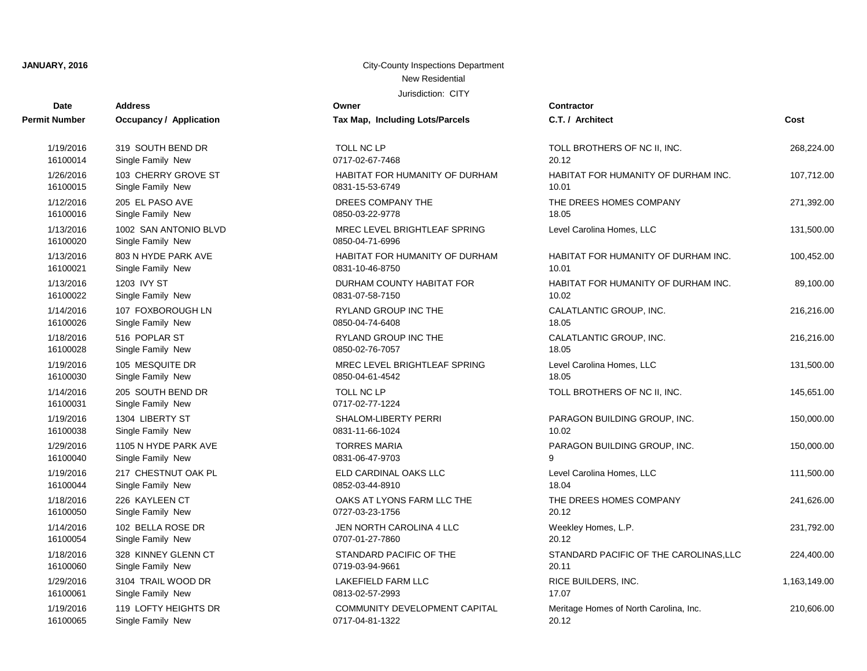| <b>Date</b>          | <b>Address</b>                 | Owner                                 | Contractor         |
|----------------------|--------------------------------|---------------------------------------|--------------------|
| <b>Permit Number</b> | <b>Occupancy / Application</b> | Tax Map, Including Lots/Parcels       | C.T. / Arch        |
| 1/19/2016            | 319 SOUTH BEND DR              | TOLL NC LP                            | <b>TOLL BRO</b>    |
| 16100014             | Single Family New              | 0717-02-67-7468                       | 20.12              |
| 1/26/2016            | 103 CHERRY GROVE ST            | <b>HABITAT FOR HUMANITY OF DURHAM</b> | <b>HABITAT F</b>   |
| 16100015             | Single Family New              | 0831-15-53-6749                       | 10.01              |
| 1/12/2016            | 205 EL PASO AVE                | DREES COMPANY THE                     | THE DREE           |
| 16100016             | Single Family New              | 0850-03-22-9778                       | 18.05              |
| 1/13/2016            | 1002 SAN ANTONIO BLVD          | MREC LEVEL BRIGHTLEAF SPRING          | <b>Level Carol</b> |
| 16100020             | Single Family New              | 0850-04-71-6996                       |                    |
| 1/13/2016            | 803 N HYDE PARK AVE            | HABITAT FOR HUMANITY OF DURHAM        | <b>HABITAT F</b>   |
| 16100021             | Single Family New              | 0831-10-46-8750                       | 10.01              |
| 1/13/2016            | 1203 IVY ST                    | DURHAM COUNTY HABITAT FOR             | <b>HABITAT F</b>   |
| 16100022             | Single Family New              | 0831-07-58-7150                       | 10.02              |
| 1/14/2016            | 107 FOXBOROUGH LN              | <b>RYLAND GROUP INC THE</b>           | CALATLAN           |
| 16100026             | Single Family New              | 0850-04-74-6408                       | 18.05              |
| 1/18/2016            | 516 POPLAR ST                  | RYLAND GROUP INC THE                  | CALATLAN           |
| 16100028             | Single Family New              | 0850-02-76-7057                       | 18.05              |
| 1/19/2016            | 105 MESQUITE DR                | MREC LEVEL BRIGHTLEAF SPRING          | Level Carol        |
| 16100030             | Single Family New              | 0850-04-61-4542                       | 18.05              |
| 1/14/2016            | 205 SOUTH BEND DR              | TOLL NC LP                            | <b>TOLL BRO</b>    |
| 16100031             | Single Family New              | 0717-02-77-1224                       |                    |
| 1/19/2016            | 1304 LIBERTY ST                | SHALOM-LIBERTY PERRI                  | <b>PARAGON</b>     |
| 16100038             | Single Family New              | 0831-11-66-1024                       | 10.02              |
| 1/29/2016            | 1105 N HYDE PARK AVE           | <b>TORRES MARIA</b>                   | <b>PARAGON</b>     |
| 16100040             | Single Family New              | 0831-06-47-9703                       | g                  |
| 1/19/2016            | 217 CHESTNUT OAK PL            | ELD CARDINAL OAKS LLC                 | <b>Level Carol</b> |
| 16100044             | Single Family New              | 0852-03-44-8910                       | 18.04              |
| 1/18/2016            | 226 KAYLEEN CT                 | OAKS AT LYONS FARM LLC THE            | THE DREE           |
| 16100050             | Single Family New              | 0727-03-23-1756                       | 20.12              |
| 1/14/2016            | 102 BELLA ROSE DR              | JEN NORTH CAROLINA 4 LLC              | Weekley H          |
| 16100054             | Single Family New              | 0707-01-27-7860                       | 20.12              |
| 1/18/2016            | 328 KINNEY GLENN CT            | STANDARD PACIFIC OF THE               | <b>STANDARI</b>    |
| 16100060             | Single Family New              | 0719-03-94-9661                       | 20.11              |
| 1/29/2016            | 3104 TRAIL WOOD DR             | LAKEFIELD FARM LLC                    | <b>RICE BUILI</b>  |
| 16100061             | Single Family New              | 0813-02-57-2993                       | 17.07              |
| 1/19/2016            | 119 LOFTY HEIGHTS DR           | COMMUNITY DEVELOPMENT CAPITAL         | Meritage H         |
| 16100065             | Single Family New              | 0717-04-81-1322                       | 20.12              |

| t Number              | Occupancy / Application                    | Tax Map, Including Lots/Parcels                 | C.T. / Architect                       | Cost         |
|-----------------------|--------------------------------------------|-------------------------------------------------|----------------------------------------|--------------|
| 1/19/2016             | 319 SOUTH BEND DR                          | TOLL NC LP                                      | TOLL BROTHERS OF NC II, INC.           | 268,224.00   |
| 16100014              | Single Family New                          | 0717-02-67-7468                                 | 20.12                                  |              |
| 1/26/2016             | 103 CHERRY GROVE ST                        | HABITAT FOR HUMANITY OF DURHAM                  | HABITAT FOR HUMANITY OF DURHAM INC.    | 107,712.00   |
| 16100015              | Single Family New                          | 0831-15-53-6749                                 | 10.01                                  |              |
| 1/12/2016             | 205 EL PASO AVE                            | DREES COMPANY THE                               | THE DREES HOMES COMPANY                | 271,392.00   |
| 16100016              | Single Family New                          | 0850-03-22-9778                                 | 18.05                                  |              |
| 1/13/2016<br>16100020 | 1002 SAN ANTONIO BLVD<br>Single Family New | MREC LEVEL BRIGHTLEAF SPRING<br>0850-04-71-6996 | Level Carolina Homes, LLC              | 131,500.00   |
| 1/13/2016             | 803 N HYDE PARK AVE                        | HABITAT FOR HUMANITY OF DURHAM                  | HABITAT FOR HUMANITY OF DURHAM INC.    | 100,452.00   |
| 16100021              | Single Family New                          | 0831-10-46-8750                                 | 10.01                                  |              |
| 1/13/2016             | 1203 IVY ST                                | DURHAM COUNTY HABITAT FOR                       | HABITAT FOR HUMANITY OF DURHAM INC.    | 89,100.00    |
| 16100022              | Single Family New                          | 0831-07-58-7150                                 | 10.02                                  |              |
| 1/14/2016             | 107 FOXBOROUGH LN                          | RYLAND GROUP INC THE                            | CALATLANTIC GROUP, INC.                | 216,216.00   |
| 16100026              | Single Family New                          | 0850-04-74-6408                                 | 18.05                                  |              |
| 1/18/2016             | 516 POPLAR ST                              | RYLAND GROUP INC THE                            | CALATLANTIC GROUP, INC.                | 216,216.00   |
| 16100028              | Single Family New                          | 0850-02-76-7057                                 | 18.05                                  |              |
| 1/19/2016             | 105 MESQUITE DR                            | MREC LEVEL BRIGHTLEAF SPRING                    | Level Carolina Homes, LLC              | 131,500.00   |
| 16100030              | Single Family New                          | 0850-04-61-4542                                 | 18.05                                  |              |
| 1/14/2016<br>16100031 | 205 SOUTH BEND DR<br>Single Family New     | TOLL NC LP<br>0717-02-77-1224                   | TOLL BROTHERS OF NC II, INC.           | 145,651.00   |
| 1/19/2016             | 1304 LIBERTY ST                            | <b>SHALOM-LIBERTY PERRI</b>                     | PARAGON BUILDING GROUP, INC.           | 150,000.00   |
| 16100038              | Single Family New                          | 0831-11-66-1024                                 | 10.02                                  |              |
| 1/29/2016<br>16100040 | 1105 N HYDE PARK AVE<br>Single Family New  | <b>TORRES MARIA</b><br>0831-06-47-9703          | PARAGON BUILDING GROUP, INC.           | 150,000.00   |
| 1/19/2016             | 217 CHESTNUT OAK PL                        | ELD CARDINAL OAKS LLC                           | Level Carolina Homes, LLC              | 111,500.00   |
| 16100044              | Single Family New                          | 0852-03-44-8910                                 | 18.04                                  |              |
| 1/18/2016             | 226 KAYLEEN CT                             | OAKS AT LYONS FARM LLC THE                      | THE DREES HOMES COMPANY                | 241,626.00   |
| 16100050              | Single Family New                          | 0727-03-23-1756                                 | 20.12                                  |              |
| 1/14/2016             | 102 BELLA ROSE DR                          | JEN NORTH CAROLINA 4 LLC                        | Weekley Homes, L.P.                    | 231,792.00   |
| 16100054              | Single Family New                          | 0707-01-27-7860                                 | 20.12                                  |              |
| 1/18/2016             | 328 KINNEY GLENN CT                        | STANDARD PACIFIC OF THE                         | STANDARD PACIFIC OF THE CAROLINAS, LLC | 224,400.00   |
| 16100060              | Single Family New                          | 0719-03-94-9661                                 | 20.11                                  |              |
| 1/29/2016             | 3104 TRAIL WOOD DR                         | LAKEFIELD FARM LLC                              | RICE BUILDERS, INC.                    | 1,163,149.00 |
| 16100061              | Single Family New                          | 0813-02-57-2993                                 | 17.07                                  |              |
| 1/19/2016             | 119 LOFTY HEIGHTS DR                       | <b>COMMUNITY DEVELOPMENT CAPITAL</b>            | Meritage Homes of North Carolina, Inc. | 210,606.00   |
| 16100065              | Single Family, New                         | 0717-04-81-1322                                 | 20.12                                  |              |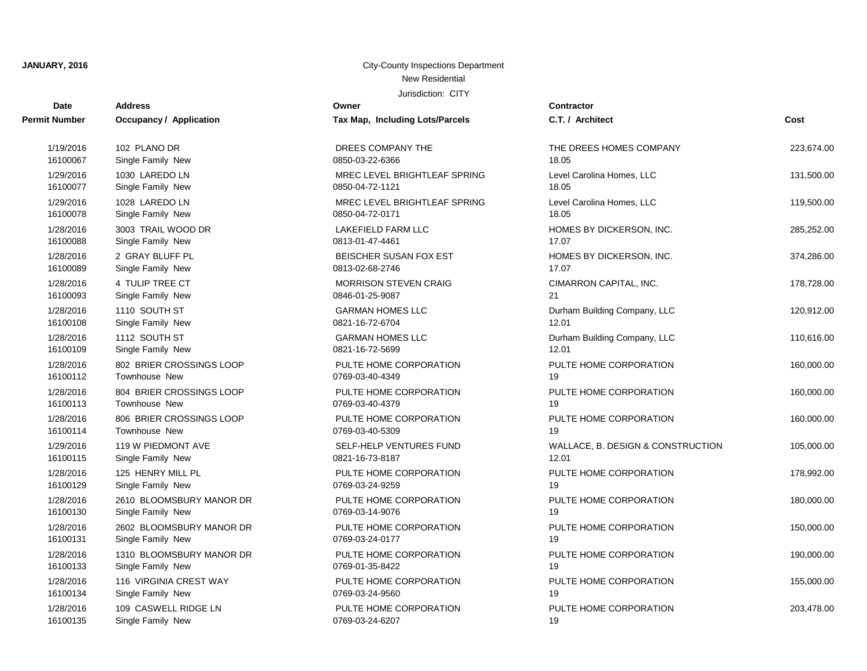| <b>Date</b>          | <b>Address</b>                 | Owner                           | <b>Contractor</b>                 |            |
|----------------------|--------------------------------|---------------------------------|-----------------------------------|------------|
| <b>Permit Number</b> | <b>Occupancy / Application</b> | Tax Map, Including Lots/Parcels | C.T. / Architect                  | Cost       |
| 1/19/2016            | 102 PLANO DR                   | DREES COMPANY THE               | THE DREES HOMES COMPANY           | 223,674.00 |
| 16100067             | Single Family New              | 0850-03-22-6366                 | 18.05                             |            |
| 1/29/2016            | 1030 LAREDO LN                 | MREC LEVEL BRIGHTLEAF SPRING    | Level Carolina Homes, LLC         | 131,500.00 |
| 16100077             | Single Family New              | 0850-04-72-1121                 | 18.05                             |            |
| 1/29/2016            | 1028 LAREDO LN                 | MREC LEVEL BRIGHTLEAF SPRING    | Level Carolina Homes, LLC         | 119,500.00 |
| 16100078             | Single Family New              | 0850-04-72-0171                 | 18.05                             |            |
| 1/28/2016            | 3003 TRAIL WOOD DR             | <b>LAKEFIELD FARM LLC</b>       | HOMES BY DICKERSON, INC.          | 285,252.00 |
| 16100088             | Single Family New              | 0813-01-47-4461                 | 17.07                             |            |
| 1/28/2016            | 2 GRAY BLUFF PL                | BEISCHER SUSAN FOX EST          | HOMES BY DICKERSON, INC.          | 374,286.00 |
| 16100089             | Single Family New              | 0813-02-68-2746                 | 17.07                             |            |
| 1/28/2016            | 4 TULIP TREE CT                | <b>MORRISON STEVEN CRAIG</b>    | CIMARRON CAPITAL, INC.            | 178,728.00 |
| 16100093             | Single Family New              | 0846-01-25-9087                 | 21                                |            |
| 1/28/2016            | 1110 SOUTH ST                  | <b>GARMAN HOMES LLC</b>         | Durham Building Company, LLC      | 120,912.00 |
| 16100108             | Single Family New              | 0821-16-72-6704                 | 12.01                             |            |
| 1/28/2016            | 1112 SOUTH ST                  | <b>GARMAN HOMES LLC</b>         | Durham Building Company, LLC      | 110,616.00 |
| 16100109             | Single Family New              | 0821-16-72-5699                 | 12.01                             |            |
| 1/28/2016            | 802 BRIER CROSSINGS LOOP       | PULTE HOME CORPORATION          | PULTE HOME CORPORATION            | 160,000.00 |
| 16100112             | <b>Townhouse New</b>           | 0769-03-40-4349                 | 19                                |            |
| 1/28/2016            | 804 BRIER CROSSINGS LOOP       | PULTE HOME CORPORATION          | PULTE HOME CORPORATION            | 160,000.00 |
| 16100113             | Townhouse New                  | 0769-03-40-4379                 | 19                                |            |
| 1/28/2016            | 806 BRIER CROSSINGS LOOP       | PULTE HOME CORPORATION          | PULTE HOME CORPORATION            | 160,000.00 |
| 16100114             | <b>Townhouse New</b>           | 0769-03-40-5309                 | 19                                |            |
| 1/29/2016            | 119 W PIEDMONT AVE             | SELF-HELP VENTURES FUND         | WALLACE, B. DESIGN & CONSTRUCTION | 105,000.00 |
| 16100115             | Single Family New              | 0821-16-73-8187                 | 12.01                             |            |
| 1/28/2016            | 125 HENRY MILL PL              | PULTE HOME CORPORATION          | PULTE HOME CORPORATION            | 178,992.00 |
| 16100129             | Single Family New              | 0769-03-24-9259                 | 19                                |            |
| 1/28/2016            | 2610 BLOOMSBURY MANOR DR       | PULTE HOME CORPORATION          | PULTE HOME CORPORATION            | 180,000.00 |
| 16100130             | Single Family New              | 0769-03-14-9076                 | 19                                |            |
| 1/28/2016            | 2602 BLOOMSBURY MANOR DR       | PULTE HOME CORPORATION          | PULTE HOME CORPORATION            | 150,000.00 |
| 16100131             | Single Family New              | 0769-03-24-0177                 | 19                                |            |
| 1/28/2016            | 1310 BLOOMSBURY MANOR DR       | PULTE HOME CORPORATION          | PULTE HOME CORPORATION            | 190,000.00 |
| 16100133             | Single Family New              | 0769-01-35-8422                 | 19                                |            |
| 1/28/2016            | 116 VIRGINIA CREST WAY         | PULTE HOME CORPORATION          | PULTE HOME CORPORATION            | 155,000.00 |
| 16100134             | Single Family New              | 0769-03-24-9560                 | 19                                |            |
| 1/28/2016            | 109 CASWELL RIDGE LN           | PULTE HOME CORPORATION          | PULTE HOME CORPORATION            | 203,478.00 |
| 16100135             | Single Family New              | 0769-03-24-6207                 | 19                                |            |